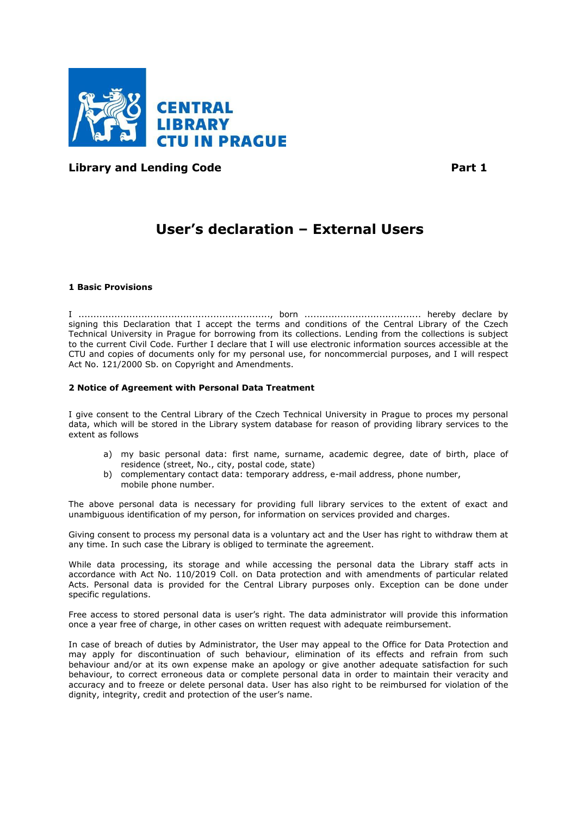

**Library and Lending Code Part 1** 

# **User's declaration – External Users**

## **1 Basic Provisions**

I ................................................................, born ....................................... hereby declare by signing this Declaration that I accept the terms and conditions of the Central Library of the Czech Technical University in Prague for borrowing from its collections. Lending from the collections is subject to the current Civil Code. Further I declare that I will use electronic information sources accessible at the CTU and copies of documents only for my personal use, for noncommercial purposes, and I will respect Act No. 121/2000 Sb. on Copyright and Amendments.

# **2 Notice of Agreement with Personal Data Treatment**

I give consent to the Central Library of the Czech Technical University in Prague to proces my personal data, which will be stored in the Library system database for reason of providing library services to the extent as follows

- a) my basic personal data: first name, surname, academic degree, date of birth, place of residence (street, No., city, postal code, state)
- b) complementary contact data: temporary address, e-mail address, phone number, mobile phone number.

The above personal data is necessary for providing full library services to the extent of exact and unambiguous identification of my person, for information on services provided and charges.

Giving consent to process my personal data is a voluntary act and the User has right to withdraw them at any time. In such case the Library is obliged to terminate the agreement.

While data processing, its storage and while accessing the personal data the Library staff acts in accordance with Act No. 110/2019 Coll. on Data protection and with amendments of particular related Acts. Personal data is provided for the Central Library purposes only. Exception can be done under specific regulations.

Free access to stored personal data is user's right. The data administrator will provide this information once a year free of charge, in other cases on written request with adequate reimbursement.

In case of breach of duties by Administrator, the User may appeal to the Office for Data Protection and may apply for discontinuation of such behaviour, elimination of its effects and refrain from such behaviour and/or at its own expense make an apology or give another adequate satisfaction for such behaviour, to correct erroneous data or complete personal data in order to maintain their veracity and accuracy and to freeze or delete personal data. User has also right to be reimbursed for violation of the dignity, integrity, credit and protection of the user's name.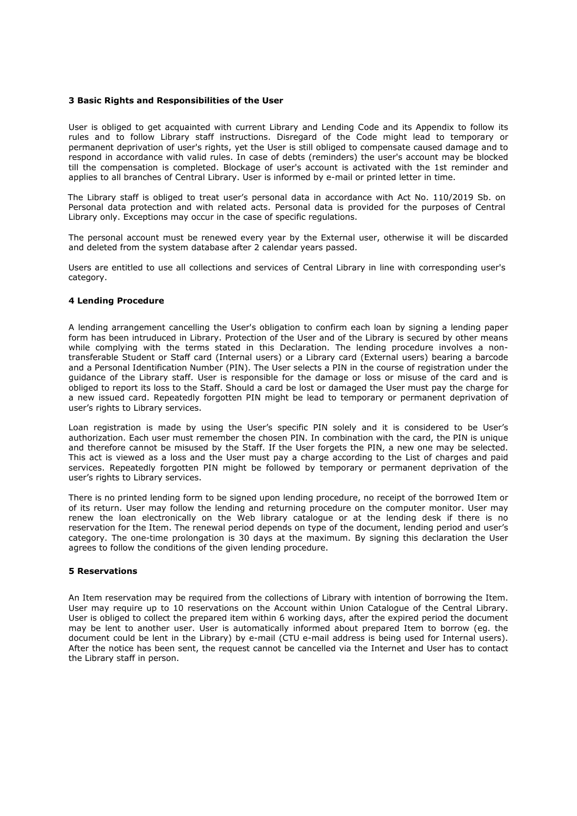### **3 Basic Rights and Responsibilities of the User**

User is obliged to get acquainted with current Library and Lending Code and its Appendix to follow its rules and to follow Library staff instructions. Disregard of the Code might lead to temporary or permanent deprivation of user's rights, yet the User is still obliged to compensate caused damage and to respond in accordance with valid rules. In case of debts (reminders) the user's account may be blocked till the compensation is completed. Blockage of user's account is activated with the 1st reminder and applies to all branches of Central Library. User is informed by e-mail or printed letter in time.

The Library staff is obliged to treat user's personal data in accordance with Act No. 110/2019 Sb. on Personal data protection and with related acts. Personal data is provided for the purposes of Central Library only. Exceptions may occur in the case of specific regulations.

The personal account must be renewed every year by the External user, otherwise it will be discarded and deleted from the system database after 2 calendar years passed.

Users are entitled to use all collections and services of Central Library in line with corresponding user's category.

## **4 Lending Procedure**

A lending arrangement cancelling the User's obligation to confirm each loan by signing a lending paper form has been intruduced in Library. Protection of the User and of the Library is secured by other means while complying with the terms stated in this Declaration. The lending procedure involves a nontransferable Student or Staff card (Internal users) or a Library card (External users) bearing a barcode and a Personal Identification Number (PIN). The User selects a PIN in the course of registration under the guidance of the Library staff. User is responsible for the damage or loss or misuse of the card and is obliged to report its loss to the Staff. Should a card be lost or damaged the User must pay the charge for a new issued card. Repeatedly forgotten PIN might be lead to temporary or permanent deprivation of user's rights to Library services.

Loan registration is made by using the User's specific PIN solely and it is considered to be User's authorization. Each user must remember the chosen PIN. In combination with the card, the PIN is unique and therefore cannot be misused by the Staff. If the User forgets the PIN, a new one may be selected. This act is viewed as a loss and the User must pay a charge according to the List of charges and paid services. Repeatedly forgotten PIN might be followed by temporary or permanent deprivation of the user's rights to Library services.

There is no printed lending form to be signed upon lending procedure, no receipt of the borrowed Item or of its return. User may follow the lending and returning procedure on the computer monitor. User may renew the loan electronically on the Web library catalogue or at the lending desk if there is no reservation for the Item. The renewal period depends on type of the document, lending period and user's category. The one-time prolongation is 30 days at the maximum. By signing this declaration the User agrees to follow the conditions of the given lending procedure.

# **5 Reservations**

An Item reservation may be required from the collections of Library with intention of borrowing the Item. User may require up to 10 reservations on the Account within Union Catalogue of the Central Library. User is obliged to collect the prepared item within 6 working days, after the expired period the document may be lent to another user. User is automatically informed about prepared Item to borrow (eg. the document could be lent in the Library) by e-mail (CTU e-mail address is being used for Internal users). After the notice has been sent, the request cannot be cancelled via the Internet and User has to contact the Library staff in person.